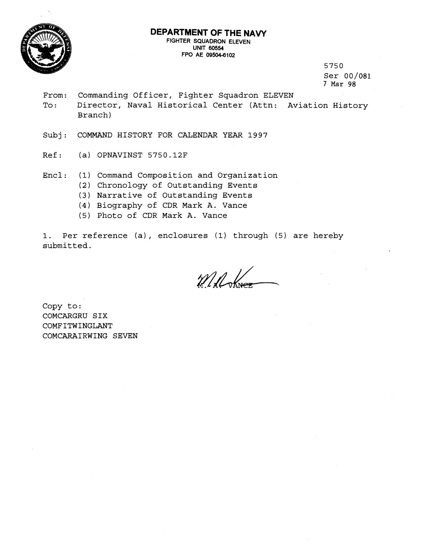

## **DEPARTMENT OF THE NAVY FIGHTER SQUADRON ELEVEN**

**UNIT 60554 FPO AE 095046102** 

> 5750 Ser 00/081 7 Mar 98

From: Commanding Officer, Fighter Squadron ELEVEN To: Director, Naval Historical Center (Attn: Aviation History Branch)

Subj: COMMAND HISTORY FOR CALENDAR YEAR 1997

- Ref: (a) OPNAVINST 5750.12F
- Encl: (1) Command Composition and Organization
	- **(2)** Chronology of Outstanding Events
	- **(3)** Narrative of Outstanding Events
	- (4) Biography of CDR Mark A. Vance
	- (5) Photo of CDR Mark A. Vance

1. Per reference (a) , enclosures (1) through (5) are hereby submitted.

Millower

Copy to: COMCARGRU SIX COMFITWINGLANT COMCARAIRWING SEVEN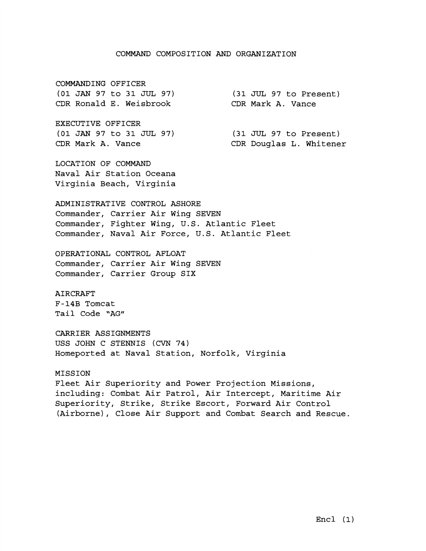### COMMAND COMPOSITION AND ORGANIZATION

COMMANDING OFFICER (01 JAN 97 to 31 JUL 97) CDR Ronald E. Weisbrook

EXECUTIVE OFFICER (01 JAN 97 to 31 JUL 97) CDR Mark A. Vance

(31 JUL 97 to Present) CDR Mark A. Vance

> (31 JUL 97 to Present) CDR Douglas L. Whitener

LOCATION OF COMMAND Naval Air Station Oceana Virginia Beach, Virginia

ADMINISTRATIVE CONTROL ASHORE Commander, Carrier Air Wing SEVEN Commander, Fighter Wing, U.S. Atlantic Fleet Commander, Naval Air Force, U.S. Atlantic Fleet

OPERATIONAL CONTROL AFLOAT Commander, Carrier Air Wing SEVEN Commander, Carrier Group SIX

AIRCRAFT F-14B Tomcat Tail Code "AG"

CARRIER ASSIGNMENTS USS JOHN C STENNIS (CVN 74) Homeported at Naval Station, Norfolk, Virginia

### MISSION

Fleet Air Superiority and Power Projection Missions, including: Combat Air Patrol, Air Intercept, Maritime Air Superiority, Strike, Strike Escort, Forward Air Control (Airborne), Close Air Support and Combat Search and Rescue.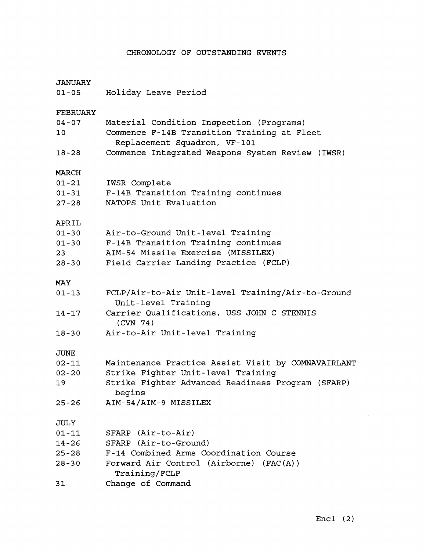# CHRONOLOGY OF OUTSTANDING EVENTS

# JANUARY

01-05 Holiday Leave Period

# FEBRUARY

| $04 - 07$   | Material Condition Inspection (Programs)                                 |  |  |  |  |
|-------------|--------------------------------------------------------------------------|--|--|--|--|
| 10          | Commence F-14B Transition Training at Fleet                              |  |  |  |  |
|             | Replacement Squadron, VF-101                                             |  |  |  |  |
| $18 - 28$   | Commence Integrated Weapons System Review (IWSR)                         |  |  |  |  |
| MARCH       |                                                                          |  |  |  |  |
| $01 - 21$   | IWSR Complete                                                            |  |  |  |  |
| $01 - 31$   | F-14B Transition Training continues                                      |  |  |  |  |
| $27 - 28$   | NATOPS Unit Evaluation                                                   |  |  |  |  |
| APRIL       |                                                                          |  |  |  |  |
| $01 - 30$   | Air-to-Ground Unit-level Training                                        |  |  |  |  |
| $01 - 30$   | F-14B Transition Training continues                                      |  |  |  |  |
| 23          | AIM-54 Missile Exercise (MISSILEX)                                       |  |  |  |  |
| $28 - 30$   | Field Carrier Landing Practice (FCLP)                                    |  |  |  |  |
| MAY         |                                                                          |  |  |  |  |
| $01 - 13$   | FCLP/Air-to-Air Unit-level Training/Air-to-Ground<br>Unit-level Training |  |  |  |  |
| $14 - 17$   | Carrier Qualifications, USS JOHN C STENNIS<br>(CVN 74)                   |  |  |  |  |
| $18 - 30$   | Air-to-Air Unit-level Training                                           |  |  |  |  |
| <b>JUNE</b> |                                                                          |  |  |  |  |
| $02 - 11$   | Maintenance Practice Assist Visit by COMNAVAIRLANT                       |  |  |  |  |
| $02 - 20$   | Strike Fighter Unit-level Training                                       |  |  |  |  |
| 19          | Strike Fighter Advanced Readiness Program (SFARP)<br>begins              |  |  |  |  |
| $25 - 26$   | AIM-54/AIM-9 MISSILEX                                                    |  |  |  |  |
| <b>JULY</b> |                                                                          |  |  |  |  |
| $01 - 11$   | SFARP (Air-to-Air)                                                       |  |  |  |  |
| $14 - 26$   | SFARP (Air-to-Ground)                                                    |  |  |  |  |
| $25 - 28$   | F-14 Combined Arms Coordination Course                                   |  |  |  |  |
| $28 - 30$   | Forward Air Control (Airborne) (FAC(A))<br>Training/FCLP                 |  |  |  |  |
| 31          | Change of Command                                                        |  |  |  |  |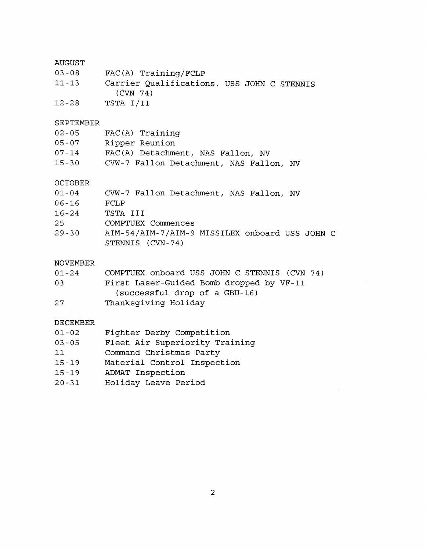# AUGUST

| $03 - 08$ |  | $FAC(A)$ Training/FCLP |  |
|-----------|--|------------------------|--|
|-----------|--|------------------------|--|

| $11 - 13$ | Carrier Qualifications, USS JOHN C STENNIS |
|-----------|--------------------------------------------|
|           | (CVN 74)                                   |
| $12 - 28$ | TSTA I/II                                  |

### SEPTEMBER

| $02 - 05$ | $FAC(A)$ Training                       |
|-----------|-----------------------------------------|
| 05-07     | Ripper Reunion                          |
| $07 - 14$ | FAC(A) Detachment, NAS Fallon, NV       |
| $15 - 30$ | CVW-7 Fallon Detachment, NAS Fallon, NV |

### OCTOBER

| $01 - 04$ | CVW-7 Fallon Detachment, NAS Fallon, NV        |
|-----------|------------------------------------------------|
| 06-16     | FCLP                                           |
| $16 - 24$ | TSTA III                                       |
| 25        | COMPTUEX Commences                             |
| $29 - 30$ | AIM-54/AIM-7/AIM-9 MISSILEX onboard USS JOHN C |
|           | STENNIS (CVN-74)                               |

## NOVEMBER

| $01 - 24$ | COMPTUEX onboard USS JOHN C STENNIS (CVN 74) |  |  |
|-----------|----------------------------------------------|--|--|
|-----------|----------------------------------------------|--|--|

- 03 First Laser-Guided Bomb dropped by VF-11 (successful drop of a GBU-16)
- 27 Thanksgiving Holiday

## DECEMBER

| $01 - 02$           | Fighter Derby Competition                  |
|---------------------|--------------------------------------------|
| $\bigcap$ $\bigcap$ | $F1$ oot $\lambda$ ir Cunoriority Training |

| U3-U5 |  | rieet Air superiority Training |  |  |
|-------|--|--------------------------------|--|--|
|       |  |                                |  |  |

- 11 Command Christmas Party
- 15-19 Material Control Inspection
- 15-19 ADMAT Inspection
- 20-31 Holiday Leave Period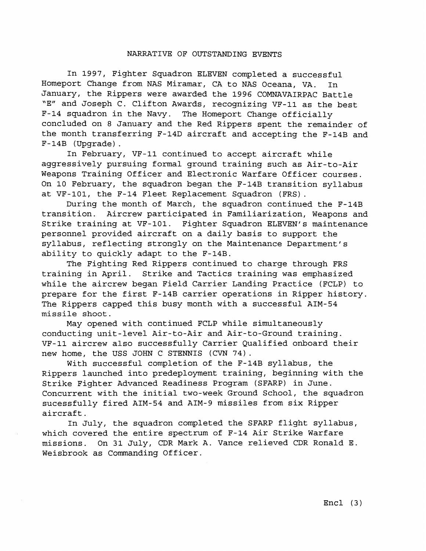#### NARRATIVE OF OUTSTANDING EVENTS

In 1997, Fighter Squadron ELEVEN completed a successful Homeport Change from NAS Miramar, CA to NAS Oceana, VA. In January, the Rippers were awarded the 1996 COMNAVAIRPAC Battle "E" and Joseph C. Clifton Awards, recognizing VF-11 as the best F-14 squadron in the Navy. The Homeport Change officially concluded on 8 January and the Red Rippers spent the remainder of the month transferring F-14D aircraft and accepting the F-14B and F-14B (Upgrade) .

In February, VF-11 continued to accept aircraft while aggressively pursuing formal ground training such as Air-to-Air Weapons Training Officer and Electronic Warfare Officer courses. On 10 February, the squadron began the F-14B transition syllabus at VF-101, the F-14 Fleet Replacement Squadron (FRS) .

During the month of March, the squadron continued the F-14B transition. Aircrew participated in Familiarization, Weapons and Strike training at VF-101. Fighter Squadron ELEVEN'S maintenance personnel provided aircraft on a daily basis to support the syllabus, reflecting strongly on the Maintenance Department's ability to quickly adapt to the F-14B.

The Fighting Red Rippers continued to charge through FRS training in April. Strike and Tactics training was emphasized while the aircrew began Field Carrier Landing Practice (FCLP) to prepare for the first F-14B carrier operations in Ripper history. The Rippers capped this busy month with a successful AIM-54 missile shoot.

May opened with continued FCLP while simultaneously conducting unit-level Air-to-Air and Air-to-Ground training. VF-11 aircrew also successfully Carrier Qualified onboard their new home, the USS JOHN C STENNIS (CVN 74).

With successful completion of the F-14B syllabus, the Rippers launched into predeployment training, beginning with the Strike Fighter Advanced Readiness Program (SFARP) in June. Concurrent with the initial two-week Ground School, the squadron sucessfully fired AIM-54 and AIM-9 missiles from six Ripper aircraft.

In July, the squadron completed the SFARP flight syllabus, which covered the entire spectrum of F-14 Air Strike Warfare missions. On 31 July, CDR Mark A. Vance relieved CDR Ronald E. Weisbrook as Commanding Officer.